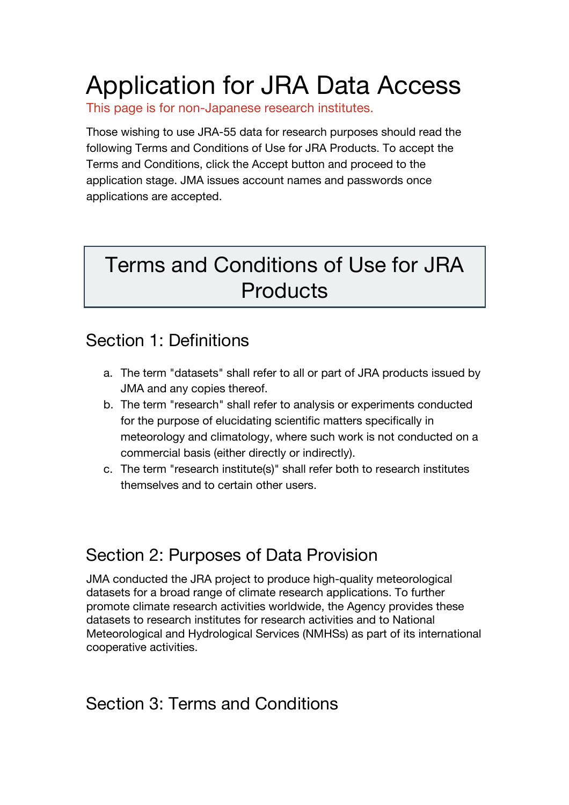# Application for JRA Data Access

This page is for non-Japanese research institutes.

Those wishing to use JRA-55 data for research purposes should read the following Terms and Conditions of Use for JRA Products. To accept the Terms and Conditions, click the Accept button and proceed to the application stage. JMA issues account names and passwords once applications are accepted.

## Terms and Conditions of Use for JRA **Products**

#### Section 1: Definitions

- a. The term "datasets" shall refer to all or part of JRA products issued by JMA and any copies thereof.
- b. The term "research" shall refer to analysis or experiments conducted for the purpose of elucidating scientific matters specifically in meteorology and climatology, where such work is not conducted on a commercial basis (either directly or indirectly).
- c. The term "research institute(s)" shall refer both to research institutes themselves and to certain other users.

### Section 2: Purposes of Data Provision

JMA conducted the JRA project to produce high-quality meteorological datasets for a broad range of climate research applications. To further promote climate research activities worldwide, the Agency provides these datasets to research institutes for research activities and to National Meteorological and Hydrological Services (NMHSs) as part of its international cooperative activities.

#### Section 3: Terms and Conditions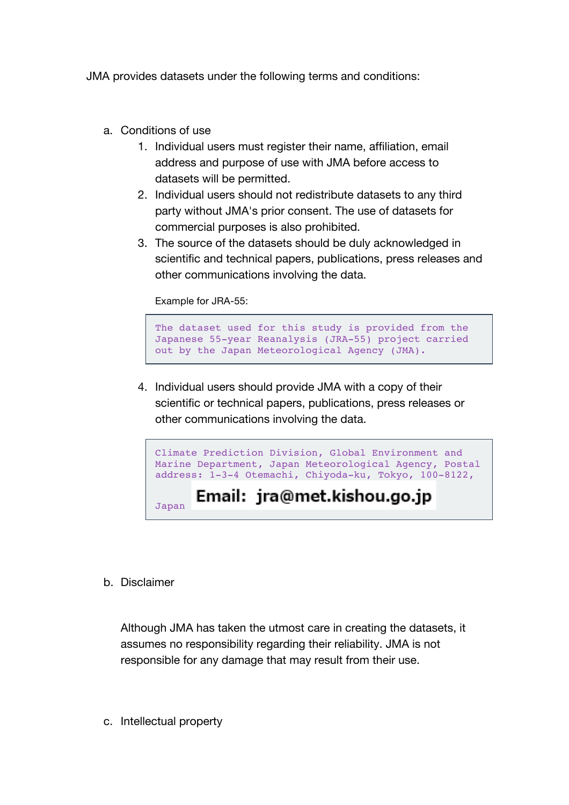JMA provides datasets under the following terms and conditions:

- a. Conditions of use
	- 1. Individual users must register their name, affiliation, email address and purpose of use with JMA before access to datasets will be permitted.
	- 2. Individual users should not redistribute datasets to any third party without JMA's prior consent. The use of datasets for commercial purposes is also prohibited.
	- 3. The source of the datasets should be duly acknowledged in scientific and technical papers, publications, press releases and other communications involving the data.

Example for JRA-55:

```
The dataset used for this study is provided from the 
Japanese 55-year Reanalysis (JRA-55) project carried 
out by the Japan Meteorological Agency (JMA).
```
4. Individual users should provide JMA with a copy of their scientific or technical papers, publications, press releases or other communications involving the data.



b. Disclaimer

Although JMA has taken the utmost care in creating the datasets, it assumes no responsibility regarding their reliability. JMA is not responsible for any damage that may result from their use.

c. Intellectual property